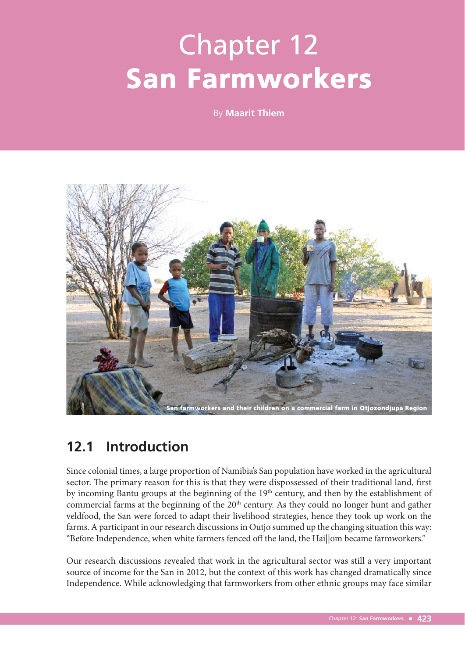# Chapter 12 San Farmworkers

By **Maarit Thiem**



## **12.1 Introduction**

Since colonial times, a large proportion of Namibia's San population have worked in the agricultural sector. The primary reason for this is that they were dispossessed of their traditional land, first by incoming Bantu groups at the beginning of the 19<sup>th</sup> century, and then by the establishment of commercial farms at the beginning of the 20<sup>th</sup> century. As they could no longer hunt and gather veldfood, the San were forced to adapt their livelihood strategies, hence they took up work on the farms. A participant in our research discussions in Outjo summed up the changing situation this way: "Before Independence, when white farmers fenced off the land, the Hai||om became farmworkers."

Our research discussions revealed that work in the agricultural sector was still a very important source of income for the San in 2012, but the context of this work has changed dramatically since Independence. While acknowledging that farmworkers from other ethnic groups may face similar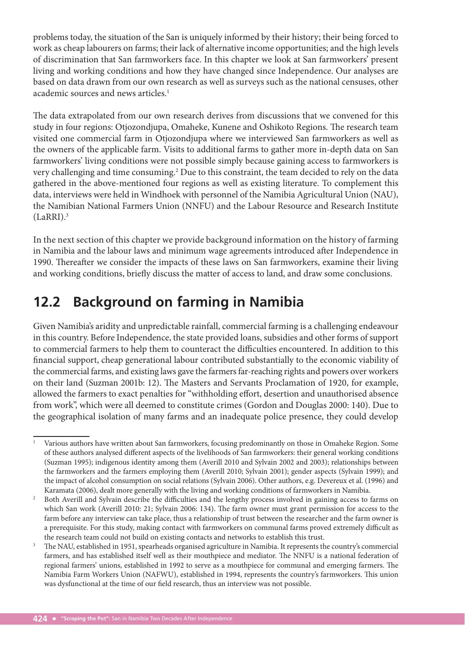problems today, the situation of the San is uniquely informed by their history; their being forced to work as cheap labourers on farms; their lack of alternative income opportunities; and the high levels of discrimination that San farmworkers face. In this chapter we look at San farmworkers' present living and working conditions and how they have changed since Independence. Our analyses are based on data drawn from our own research as well as surveys such as the national censuses, other academic sources and news articles.<sup>1</sup>

The data extrapolated from our own research derives from discussions that we convened for this study in four regions: Otjozondjupa, Omaheke, Kunene and Oshikoto Regions. The research team visited one commercial farm in Otjozondjupa where we interviewed San farmworkers as well as the owners of the applicable farm. Visits to additional farms to gather more in-depth data on San farmworkers' living conditions were not possible simply because gaining access to farmworkers is very challenging and time consuming.<sup>2</sup> Due to this constraint, the team decided to rely on the data gathered in the above-mentioned four regions as well as existing literature. To complement this data, interviews were held in Windhoek with personnel of the Namibia Agricultural Union (NAU), the Namibian National Farmers Union (NNFU) and the Labour Resource and Research Institute  $(LaRRI).<sup>3</sup>$ 

In the next section of this chapter we provide background information on the history of farming in Namibia and the labour laws and minimum wage agreements introduced after Independence in 1990. Thereafter we consider the impacts of these laws on San farmworkers, examine their living and working conditions, briefly discuss the matter of access to land, and draw some conclusions.

# **12.2 Background on farming in Namibia**

Given Namibia's aridity and unpredictable rainfall, commercial farming is a challenging endeavour in this country. Before Independence, the state provided loans, subsidies and other forms of support to commercial farmers to help them to counteract the difficulties encountered. In addition to this financial support, cheap generational labour contributed substantially to the economic viability of the commercial farms, and existing laws gave the farmers far-reaching rights and powers over workers on their land (Suzman 2001b: 12). The Masters and Servants Proclamation of 1920, for example, allowed the farmers to exact penalties for "withholding effort, desertion and unauthorised absence from work", which were all deemed to constitute crimes (Gordon and Douglas 2000: 140). Due to the geographical isolation of many farms and an inadequate police presence, they could develop

<sup>1</sup> Various authors have written about San farmworkers, focusing predominantly on those in Omaheke Region. Some of these authors analysed different aspects of the livelihoods of San farmworkers: their general working conditions (Suzman 1995); indigenous identity among them (Averill 2010 and Sylvain 2002 and 2003); relationships between the farmworkers and the farmers employing them (Averill 2010; Sylvain 2001); gender aspects (Sylvain 1999); and the impact of alcohol consumption on social relations (Sylvain 2006). Other authors, e.g. Devereux et al. (1996) and Karamata (2006), dealt more generally with the living and working conditions of farmworkers in Namibia.<br><sup>2</sup> Both Averill and Sylvain describe the difficulties and the lengthy process involved in gaining access to the

Both Averill and Sylvain describe the difficulties and the lengthy process involved in gaining access to farms on which San work (Averill 2010: 21; Sylvain 2006: 134). The farm owner must grant permission for access to the farm before any interview can take place, thus a relationship of trust between the researcher and the farm owner is a prerequisite. For this study, making contact with farmworkers on communal farms proved extremely difficult as the research team could not build on existing contacts and networks to establish this trust.

<sup>3</sup> The NAU, established in 1951, spearheads organised agriculture in Namibia. It represents the country's commercial farmers, and has established itself well as their mouthpiece and mediator. The NNFU is a national federation of regional farmers' unions, established in 1992 to serve as a mouthpiece for communal and emerging farmers. The Namibia Farm Workers Union (NAFWU), established in 1994, represents the country's farmworkers. This union was dysfunctional at the time of our field research, thus an interview was not possible.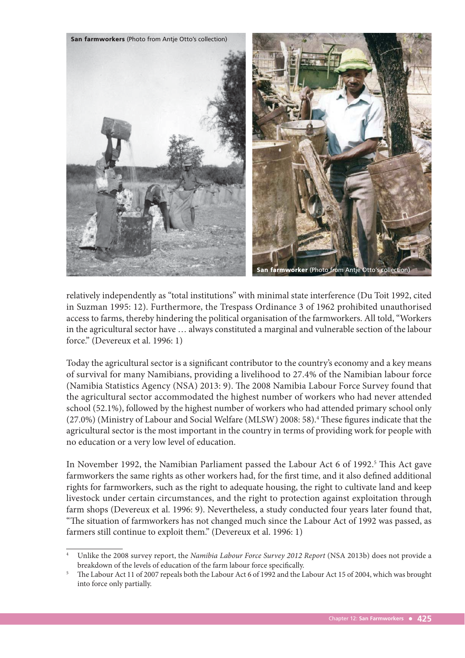

relatively independently as "total institutions" with minimal state interference (Du Toit 1992, cited in Suzman 1995: 12). Furthermore, the Trespass Ordinance 3 of 1962 prohibited unauthorised access to farms, thereby hindering the political organisation of the farmworkers. All told, "Workers in the agricultural sector have … always constituted a marginal and vulnerable section of the labour force." (Devereux et al. 1996: 1)

Today the agricultural sector is a significant contributor to the country's economy and a key means of survival for many Namibians, providing a livelihood to 27.4% of the Namibian labour force (Namibia Statistics Agency (NSA) 2013: 9). The 2008 Namibia Labour Force Survey found that the agricultural sector accommodated the highest number of workers who had never attended school (52.1%), followed by the highest number of workers who had attended primary school only (27.0%) (Ministry of Labour and Social Welfare (MLSW) 2008: 58).<sup>4</sup> These figures indicate that the agricultural sector is the most important in the country in terms of providing work for people with no education or a very low level of education.

In November 1992, the Namibian Parliament passed the Labour Act 6 of 1992.<sup>5</sup> This Act gave farmworkers the same rights as other workers had, for the first time, and it also defined additional rights for farmworkers, such as the right to adequate housing, the right to cultivate land and keep livestock under certain circumstances, and the right to protection against exploitation through farm shops (Devereux et al. 1996: 9). Nevertheless, a study conducted four years later found that, "The situation of farmworkers has not changed much since the Labour Act of 1992 was passed, as farmers still continue to exploit them." (Devereux et al. 1996: 1)

Unlike the 2008 survey report, the Namibia Labour Force Survey 2012 Report (NSA 2013b) does not provide a breakdown of the levels of education of the farm labour force specifically.

<sup>5</sup> The Labour Act 11 of 2007 repeals both the Labour Act 6 of 1992 and the Labour Act 15 of 2004, which was brought into force only partially.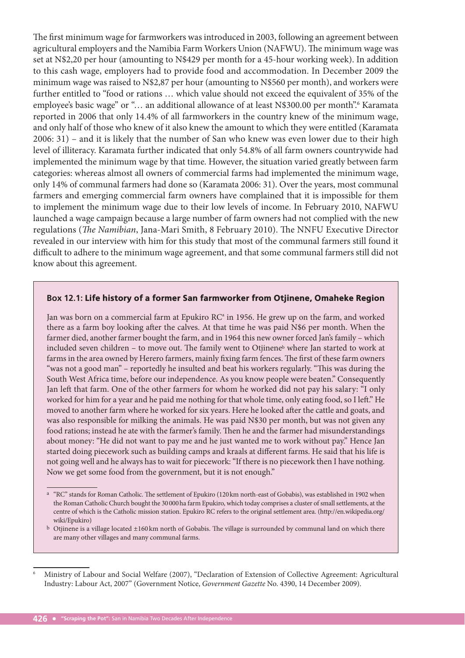The first minimum wage for farmworkers was introduced in 2003, following an agreement between agricultural employers and the Namibia Farm Workers Union (NAFWU). The minimum wage was set at N\$2,20 per hour (amounting to N\$429 per month for a 45-hour working week). In addition to this cash wage, employers had to provide food and accommodation. In December 2009 the minimum wage was raised to N\$2,87 per hour (amounting to N\$560 per month), and workers were further entitled to "food or rations … which value should not exceed the equivalent of 35% of the employee's basic wage" or "... an additional allowance of at least N\$300.00 per month". Karamata reported in 2006 that only 14.4% of all farmworkers in the country knew of the minimum wage, and only half of those who knew of it also knew the amount to which they were entitled (Karamata 2006: 31) – and it is likely that the number of San who knew was even lower due to their high level of illiteracy. Karamata further indicated that only 54.8% of all farm owners countrywide had implemented the minimum wage by that time. However, the situation varied greatly between farm categories: whereas almost all owners of commercial farms had implemented the minimum wage, only 14% of communal farmers had done so (Karamata 2006: 31). Over the years, most communal farmers and emerging commercial farm owners have complained that it is impossible for them to implement the minimum wage due to their low levels of income. In February 2010, NAFWU launched a wage campaign because a large number of farm owners had not complied with the new regulations (The Namibian, Jana-Mari Smith, 8 February 2010). The NNFU Executive Director revealed in our interview with him for this study that most of the communal farmers still found it difficult to adhere to the minimum wage agreement, and that some communal farmers still did not know about this agreement.

#### **Box 12.1:** Life history of a former San farmworker from Otjinene, Omaheke Region

Jan was born on a commercial farm at Epukiro  $RC^4$  in 1956. He grew up on the farm, and worked there as a farm boy looking after the calves. At that time he was paid N\$6 per month. When the farmer died, another farmer bought the farm, and in 1964 this new owner forced Jan's family – which included seven children - to move out. The family went to Otjinene<sup>b</sup> where Jan started to work at farms in the area owned by Herero farmers, mainly fixing farm fences. The first of these farm owners "was not a good man" - reportedly he insulted and beat his workers regularly. "This was during the South West Africa time, before our independence. As you know people were beaten." Consequently Jan left that farm. One of the other farmers for whom he worked did not pay his salary: "I only worked for him for a year and he paid me nothing for that whole time, only eating food, so I left." He moved to another farm where he worked for six years. Here he looked after the cattle and goats, and was also responsible for milking the animals. He was paid N\$30 per month, but was not given any food rations; instead he ate with the farmer's family. Then he and the farmer had misunderstandings about money: "He did not want to pay me and he just wanted me to work without pay." Hence Jan started doing piecework such as building camps and kraals at different farms. He said that his life is not going well and he always has to wait for piecework: "If there is no piecework then I have nothing. Now we get some food from the government, but it is not enough."

<sup>&</sup>lt;sup>a</sup> "RC" stands for Roman Catholic. The settlement of Epukiro (120 km north-east of Gobabis), was established in 1902 when the Roman Catholic Church bought the 30 000 ha farm Epukiro, which today comprises a cluster of small settlements, at the centre of which is the Catholic mission station. Epukiro RC refers to the original settlement area. (http://en.wikipedia.org/ wiki/Epukiro)

b Otjinene is a village located ±160 km north of Gobabis. The village is surrounded by communal land on which there are many other villages and many communal farms.

<sup>6</sup> Ministry of Labour and Social Welfare (2007), "Declaration of Extension of Collective Agreement: Agricultural Industry: Labour Act, 2007" (Government Notice, Government Gazette No. 4390, 14 December 2009).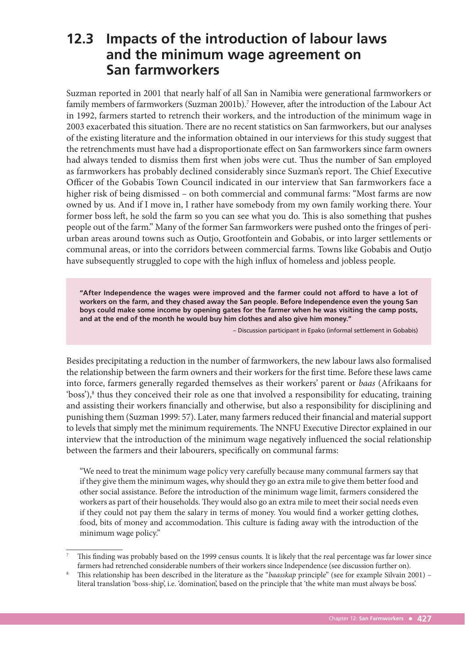## **12.3 Impacts of the introduction of labour laws and the minimum wage agreement on San farmworkers**

Suzman reported in 2001 that nearly half of all San in Namibia were generational farmworkers or family members of farmworkers (Suzman 2001b).<sup>7</sup> However, after the introduction of the Labour Act in 1992, farmers started to retrench their workers, and the introduction of the minimum wage in 2003 exacerbated this situation. There are no recent statistics on San farmworkers, but our analyses of the existing literature and the information obtained in our interviews for this study suggest that the retrenchments must have had a disproportionate effect on San farmworkers since farm owners had always tended to dismiss them first when jobs were cut. Thus the number of San employed as farmworkers has probably declined considerably since Suzman's report. The Chief Executive Officer of the Gobabis Town Council indicated in our interview that San farmworkers face a higher risk of being dismissed – on both commercial and communal farms: "Most farms are now owned by us. And if I move in, I rather have somebody from my own family working there. Your former boss left, he sold the farm so you can see what you do. This is also something that pushes people out of the farm." Many of the former San farmworkers were pushed onto the fringes of periurban areas around towns such as Outjo, Grootfontein and Gobabis, or into larger settlements or communal areas, or into the corridors between commercial farms. Towns like Gobabis and Outjo have subsequently struggled to cope with the high influx of homeless and jobless people.

**"After Independence the wages were improved and the farmer could not afford to have a lot of workers on the farm, and they chased away the San people. Before Independence even the young San boys could make some income by opening gates for the farmer when he was visiting the camp posts, and at the end of the month he would buy him clothes and also give him money."**

– Discussion participant in Epako (informal settlement in Gobabis)

Besides precipitating a reduction in the number of farmworkers, the new labour laws also formalised the relationship between the farm owners and their workers for the first time. Before these laws came into force, farmers generally regarded themselves as their workers' parent or baas (Afrikaans for 'boss'),<sup>8</sup> thus they conceived their role as one that involved a responsibility for educating, training and assisting their workers financially and otherwise, but also a responsibility for disciplining and punishing them (Suzman 1999: 57). Later, many farmers reduced their financial and material support to levels that simply met the minimum requirements. The NNFU Executive Director explained in our interview that the introduction of the minimum wage negatively influenced the social relationship between the farmers and their labourers, specifically on communal farms:

"We need to treat the minimum wage policy very carefully because many communal farmers say that if they give them the minimum wages, why should they go an extra mile to give them better food and other social assistance. Before the introduction of the minimum wage limit, farmers considered the workers as part of their households. They would also go an extra mile to meet their social needs even if they could not pay them the salary in terms of money. You would find a worker getting clothes, food, bits of money and accommodation. This culture is fading away with the introduction of the minimum wage policy."

<sup>7</sup> This finding was probably based on the 1999 census counts. It is likely that the real percentage was far lower since farmers had retrenched considerable numbers of their workers since Independence (see discussion further on). 8

<sup>&</sup>lt;sup>8</sup> This relationship has been described in the literature as the "baasskap principle" (see for example Silvain 2001) – literal translation 'boss-ship', i.e. 'domination', based on the principle that 'the white man must always be boss'.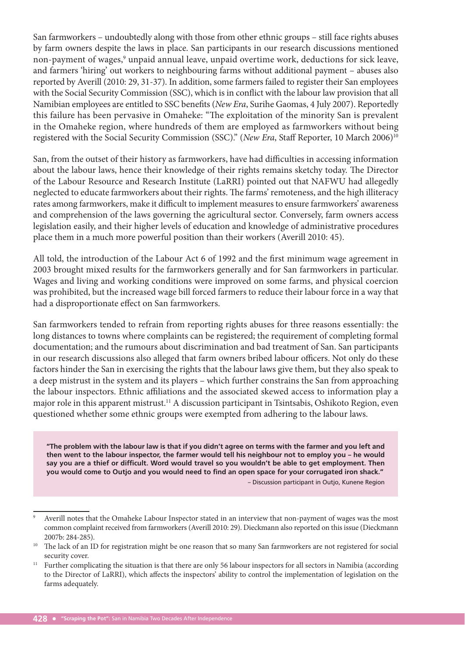San farmworkers – undoubtedly along with those from other ethnic groups – still face rights abuses by farm owners despite the laws in place. San participants in our research discussions mentioned non-payment of wages,<sup>9</sup> unpaid annual leave, unpaid overtime work, deductions for sick leave, and farmers 'hiring' out workers to neighbouring farms without additional payment – abuses also reported by Averill (2010: 29, 31-37). In addition, some farmers failed to register their San employees with the Social Security Commission (SSC), which is in conflict with the labour law provision that all Namibian employees are entitled to SSC benefits (New Era, Surihe Gaomas, 4 July 2007). Reportedly this failure has been pervasive in Omaheke: "The exploitation of the minority San is prevalent in the Omaheke region, where hundreds of them are employed as farmworkers without being registered with the Social Security Commission (SSC)." (New Era, Staff Reporter, 10 March 2006)<sup>10</sup>

San, from the outset of their history as farmworkers, have had difficulties in accessing information about the labour laws, hence their knowledge of their rights remains sketchy today. The Director of the Labour Resource and Research Institute (LaRRI) pointed out that NAFWU had allegedly neglected to educate farmworkers about their rights. The farms' remoteness, and the high illiteracy rates among farmworkers, make it difficult to implement measures to ensure farmworkers' awareness and comprehension of the laws governing the agricultural sector. Conversely, farm owners access legislation easily, and their higher levels of education and knowledge of administrative procedures place them in a much more powerful position than their workers (Averill 2010: 45).

All told, the introduction of the Labour Act 6 of 1992 and the first minimum wage agreement in 2003 brought mixed results for the farmworkers generally and for San farmworkers in particular. Wages and living and working conditions were improved on some farms, and physical coercion was prohibited, but the increased wage bill forced farmers to reduce their labour force in a way that had a disproportionate effect on San farmworkers.

San farmworkers tended to refrain from reporting rights abuses for three reasons essentially: the long distances to towns where complaints can be registered; the requirement of completing formal documentation; and the rumours about discrimination and bad treatment of San. San participants in our research discussions also alleged that farm owners bribed labour officers. Not only do these factors hinder the San in exercising the rights that the labour laws give them, but they also speak to a deep mistrust in the system and its players – which further constrains the San from approaching the labour inspectors. Ethnic affiliations and the associated skewed access to information play a major role in this apparent mistrust.11 A discussion participant in Tsintsabis, Oshikoto Region, even questioned whether some ethnic groups were exempted from adhering to the labour laws.

**"The problem with the labour law is that if you didn't agree on terms with the farmer and you left and then went to the labour inspector, the farmer would tell his neighbour not to employ you – he would say you are a thief or difficult. Word would travel so you wouldn't be able to get employment. Then you would come to Outjo and you would need to find an open space for your corrugated iron shack."** 

– Discussion participant in Outjo, Kunene Region

<sup>9</sup> Averill notes that the Omaheke Labour Inspector stated in an interview that non-payment of wages was the most common complaint received from farmworkers (Averill 2010: 29). Dieckmann also reported on this issue (Dieckmann

<sup>2007</sup>b: 284-285).  $\frac{2007b:284-285}{b}$ . The lack of an ID for registration might be one reason that so many San farmworkers are not registered for social

security cover.<br><sup>11</sup> Further complicating the situation is that there are only 56 labour inspectors for all sectors in Namibia (according to the Director of LaRRI), which affects the inspectors' ability to control the implementation of legislation on the farms adequately.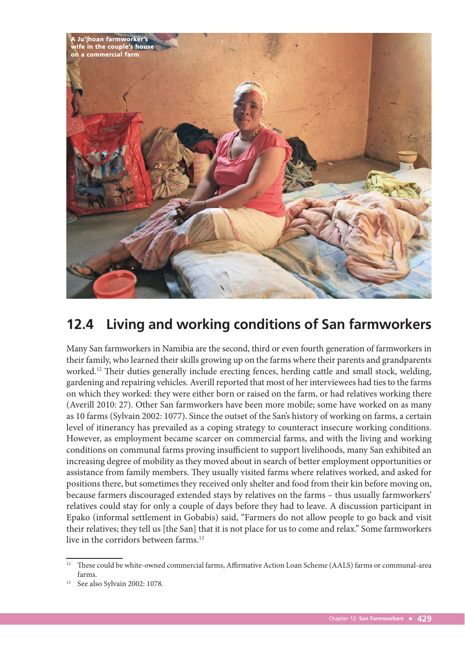

## **12.4 Living and working conditions of San farmworkers**

Many San farmworkers in Namibia are the second, third or even fourth generation of farmworkers in their family, who learned their skills growing up on the farms where their parents and grandparents worked.<sup>12</sup> Their duties generally include erecting fences, herding cattle and small stock, welding, gardening and repairing vehicles. Averill reported that most of her interviewees had ties to the farms on which they worked: they were either born or raised on the farm, or had relatives working there (Averill 2010: 27). Other San farmworkers have been more mobile; some have worked on as many as 10 farms (Sylvain 2002: 1077). Since the outset of the San's history of working on farms, a certain level of itinerancy has prevailed as a coping strategy to counteract insecure working conditions. However, as employment became scarcer on commercial farms, and with the living and working conditions on communal farms proving insufficient to support livelihoods, many San exhibited an increasing degree of mobility as they moved about in search of better employment opportunities or assistance from family members. They usually visited farms where relatives worked, and asked for positions there, but sometimes they received only shelter and food from their kin before moving on, because farmers discouraged extended stays by relatives on the farms – thus usually farmworkers' relatives could stay for only a couple of days before they had to leave. A discussion participant in Epako (informal settlement in Gobabis) said, "Farmers do not allow people to go back and visit their relatives; they tell us [the San] that it is not place for us to come and relax." Some farmworkers live in the corridors between farms.<sup>13</sup>

<sup>&</sup>lt;sup>12</sup> These could be white-owned commercial farms, Affirmative Action Loan Scheme (AALS) farms or communal-area farms.

See also Sylvain 2002: 1078.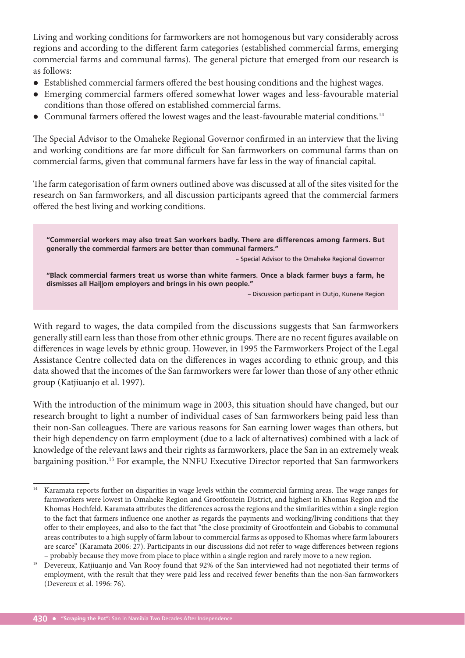Living and working conditions for farmworkers are not homogenous but vary considerably across regions and according to the different farm categories (established commercial farms, emerging commercial farms and communal farms). The general picture that emerged from our research is as follows:

- Established commercial farmers offered the best housing conditions and the highest wages.
- Emerging commercial farmers offered somewhat lower wages and less-favourable material conditions than those offered on established commercial farms.
- $\bullet$  Communal farmers offered the lowest wages and the least-favourable material conditions.<sup>14</sup>

The Special Advisor to the Omaheke Regional Governor confirmed in an interview that the living and working conditions are far more difficult for San farmworkers on communal farms than on commercial farms, given that communal farmers have far less in the way of financial capital.

The farm categorisation of farm owners outlined above was discussed at all of the sites visited for the research on San farmworkers, and all discussion participants agreed that the commercial farmers offered the best living and working conditions.

**"Commercial workers may also treat San workers badly. There are differences among farmers. But generally the commercial farmers are better than communal farmers."**  – Special Advisor to the Omaheke Regional Governor **"Black commercial farmers treat us worse than white farmers. Once a black farmer buys a farm, he dismisses all Hai||om employers and brings in his own people."** – Discussion participant in Outjo, Kunene Region

With regard to wages, the data compiled from the discussions suggests that San farmworkers generally still earn less than those from other ethnic groups. There are no recent figures available on differences in wage levels by ethnic group. However, in 1995 the Farmworkers Project of the Legal Assistance Centre collected data on the differences in wages according to ethnic group, and this data showed that the incomes of the San farmworkers were far lower than those of any other ethnic group (Katjiuanjo et al. 1997).

With the introduction of the minimum wage in 2003, this situation should have changed, but our research brought to light a number of individual cases of San farmworkers being paid less than their non-San colleagues. There are various reasons for San earning lower wages than others, but their high dependency on farm employment (due to a lack of alternatives) combined with a lack of knowledge of the relevant laws and their rights as farmworkers, place the San in an extremely weak bargaining position.15 For example, the NNFU Executive Director reported that San farmworkers

Karamata reports further on disparities in wage levels within the commercial farming areas. The wage ranges for farmworkers were lowest in Omaheke Region and Grootfontein District, and highest in Khomas Region and the Khomas Hochfeld. Karamata attributes the differences across the regions and the similarities within a single region to the fact that farmers influence one another as regards the payments and working/living conditions that they offer to their employees, and also to the fact that "the close proximity of Grootfontein and Gobabis to communal areas contributes to a high supply of farm labour to commercial farms as opposed to Khomas where farm labourers are scarce" (Karamata 2006: 27). Participants in our discussions did not refer to wage differences between regions

<sup>–</sup> probably because they move from place to place within a single region and rarely move to a new region. Devereux, Katjiuanjo and Van Rooy found that 92% of the San interviewed had not negotiated their terms of employment, with the result that they were paid less and received fewer benefits than the non-San farmworkers (Devereux et al. 1996: 76).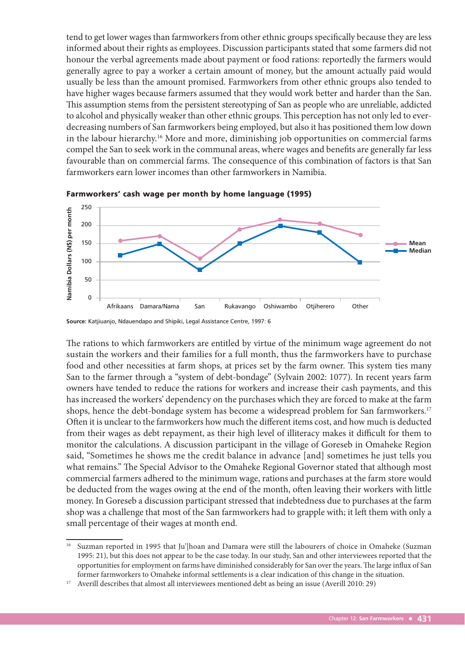tend to get lower wages than farmworkers from other ethnic groups specifically because they are less informed about their rights as employees. Discussion participants stated that some farmers did not honour the verbal agreements made about payment or food rations: reportedly the farmers would generally agree to pay a worker a certain amount of money, but the amount actually paid would usually be less than the amount promised. Farmworkers from other ethnic groups also tended to have higher wages because farmers assumed that they would work better and harder than the San. This assumption stems from the persistent stereotyping of San as people who are unreliable, addicted to alcohol and physically weaker than other ethnic groups. This perception has not only led to everdecreasing numbers of San farmworkers being employed, but also it has positioned them low down in the labour hierarchy.<sup>16</sup> More and more, diminishing job opportunities on commercial farms compel the San to seek work in the communal areas, where wages and benefits are generally far less favourable than on commercial farms. The consequence of this combination of factors is that San farmworkers earn lower incomes than other farmworkers in Namibia.



Farmworkers' cash wage per month by home language (1995)

The rations to which farmworkers are entitled by virtue of the minimum wage agreement do not sustain the workers and their families for a full month, thus the farmworkers have to purchase food and other necessities at farm shops, at prices set by the farm owner. This system ties many San to the farmer through a "system of debt-bondage" (Sylvain 2002: 1077). In recent years farm owners have tended to reduce the rations for workers and increase their cash payments, and this has increased the workers' dependency on the purchases which they are forced to make at the farm shops, hence the debt-bondage system has become a widespread problem for San farmworkers.<sup>17</sup> Often it is unclear to the farmworkers how much the different items cost, and how much is deducted from their wages as debt repayment, as their high level of illiteracy makes it difficult for them to monitor the calculations. A discussion participant in the village of Goreseb in Omaheke Region said, "Sometimes he shows me the credit balance in advance [and] sometimes he just tells you what remains." The Special Advisor to the Omaheke Regional Governor stated that although most commercial farmers adhered to the minimum wage, rations and purchases at the farm store would be deducted from the wages owing at the end of the month, often leaving their workers with little money. In Goreseb a discussion participant stressed that indebtedness due to purchases at the farm shop was a challenge that most of the San farmworkers had to grapple with; it left them with only a small percentage of their wages at month end.

**Source:** Katjiuanjo, Ndauendapo and Shipiki, Legal Assistance Centre, 1997: 6

<sup>&</sup>lt;sup>16</sup> Suzman reported in 1995 that Ju'|hoan and Damara were still the labourers of choice in Omaheke (Suzman 1995: 21), but this does not appear to be the case today. In our study, San and other interviewees reported that the opportunities for employment on farms have diminished considerably for San over the years. The large influx of San former farmworkers to Omaheke informal settlements is a clear indication of this change in the situation.

<sup>&</sup>lt;sup>17</sup> Averill describes that almost all interviewees mentioned debt as being an issue (Averill 2010: 29)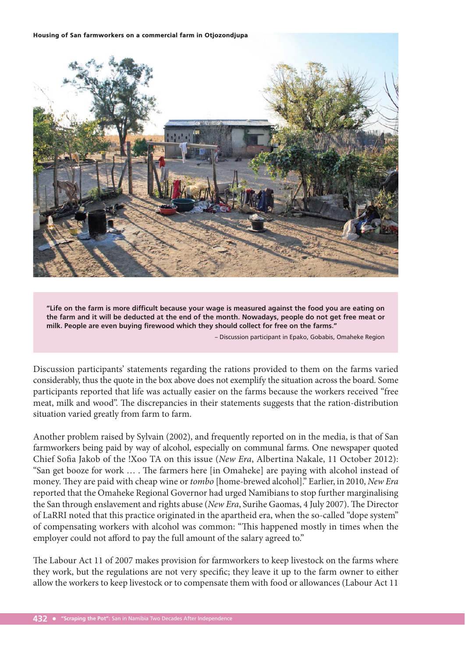#### Housing of San farmworkers on a commercial farm in Otjozondjupa



**"Life on the farm is more difficult because your wage is measured against the food you are eating on the farm and it will be deducted at the end of the month. Nowadays, people do not get free meat or milk. People are even buying firewood which they should collect for free on the farms."**

– Discussion participant in Epako, Gobabis, Omaheke Region

Discussion participants' statements regarding the rations provided to them on the farms varied considerably, thus the quote in the box above does not exemplify the situation across the board. Some participants reported that life was actually easier on the farms because the workers received "free meat, milk and wood". The discrepancies in their statements suggests that the ration-distribution situation varied greatly from farm to farm.

Another problem raised by Sylvain (2002), and frequently reported on in the media, is that of San farmworkers being paid by way of alcohol, especially on communal farms. One newspaper quoted Chief Sofia Jakob of the !Xoo TA on this issue (New Era, Albertina Nakale, 11 October 2012): "San get booze for work ... . The farmers here [in Omaheke] are paying with alcohol instead of money. They are paid with cheap wine or tombo [home-brewed alcohol]." Earlier, in 2010, New Era reported that the Omaheke Regional Governor had urged Namibians to stop further marginalising the San through enslavement and rights abuse (New Era, Surihe Gaomas, 4 July 2007). The Director of LaRRI noted that this practice originated in the apartheid era, when the so-called "dope system" of compensating workers with alcohol was common: "This happened mostly in times when the employer could not afford to pay the full amount of the salary agreed to."

The Labour Act 11 of 2007 makes provision for farmworkers to keep livestock on the farms where they work, but the regulations are not very specific; they leave it up to the farm owner to either allow the workers to keep livestock or to compensate them with food or allowances (Labour Act 11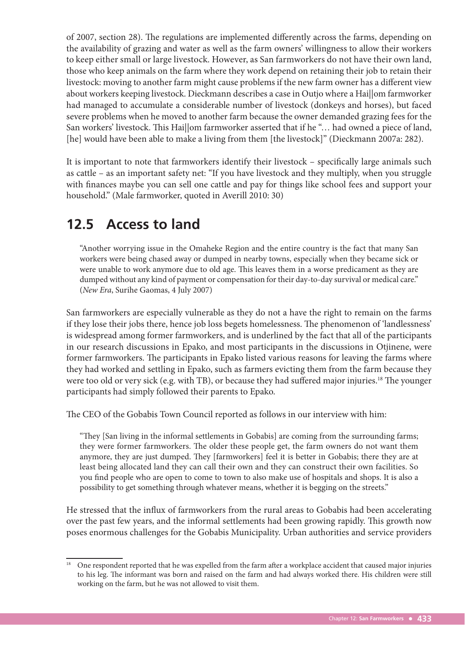of 2007, section 28). The regulations are implemented differently across the farms, depending on the availability of grazing and water as well as the farm owners' willingness to allow their workers to keep either small or large livestock. However, as San farmworkers do not have their own land, those who keep animals on the farm where they work depend on retaining their job to retain their livestock: moving to another farm might cause problems if the new farm owner has a different view about workers keeping livestock. Dieckmann describes a case in Outjo where a Hai||om farmworker had managed to accumulate a considerable number of livestock (donkeys and horses), but faced severe problems when he moved to another farm because the owner demanded grazing fees for the San workers' livestock. This Hai||om farmworker asserted that if he "... had owned a piece of land, [he] would have been able to make a living from them [the livestock]" (Dieckmann 2007a: 282).

It is important to note that farmworkers identify their livestock – specifically large animals such as cattle – as an important safety net: "If you have livestock and they multiply, when you struggle with finances maybe you can sell one cattle and pay for things like school fees and support your household." (Male farmworker, quoted in Averill 2010: 30)

#### **12.5 Access to land**

"Another worrying issue in the Omaheke Region and the entire country is the fact that many San workers were being chased away or dumped in nearby towns, especially when they became sick or were unable to work anymore due to old age. This leaves them in a worse predicament as they are dumped without any kind of payment or compensation for their day-to-day survival or medical care." (New Era, Surihe Gaomas, 4 July 2007)

San farmworkers are especially vulnerable as they do not a have the right to remain on the farms if they lose their jobs there, hence job loss begets homelessness. The phenomenon of 'landlessness' is widespread among former farmworkers, and is underlined by the fact that all of the participants in our research discussions in Epako, and most participants in the discussions in Otjinene, were former farmworkers. The participants in Epako listed various reasons for leaving the farms where they had worked and settling in Epako, such as farmers evicting them from the farm because they were too old or very sick (e.g. with TB), or because they had suffered major injuries.<sup>18</sup> The younger participants had simply followed their parents to Epako.

The CEO of the Gobabis Town Council reported as follows in our interview with him:

"They [San living in the informal settlements in Gobabis] are coming from the surrounding farms; they were former farmworkers. The older these people get, the farm owners do not want them anymore, they are just dumped. They [farmworkers] feel it is better in Gobabis; there they are at least being allocated land they can call their own and they can construct their own facilities. So you find people who are open to come to town to also make use of hospitals and shops. It is also a possibility to get something through whatever means, whether it is begging on the streets."

He stressed that the influx of farmworkers from the rural areas to Gobabis had been accelerating over the past few years, and the informal settlements had been growing rapidly. This growth now poses enormous challenges for the Gobabis Municipality. Urban authorities and service providers

<sup>&</sup>lt;sup>18</sup> One respondent reported that he was expelled from the farm after a workplace accident that caused major injuries to his leg. The informant was born and raised on the farm and had always worked there. His children were still working on the farm, but he was not allowed to visit them.